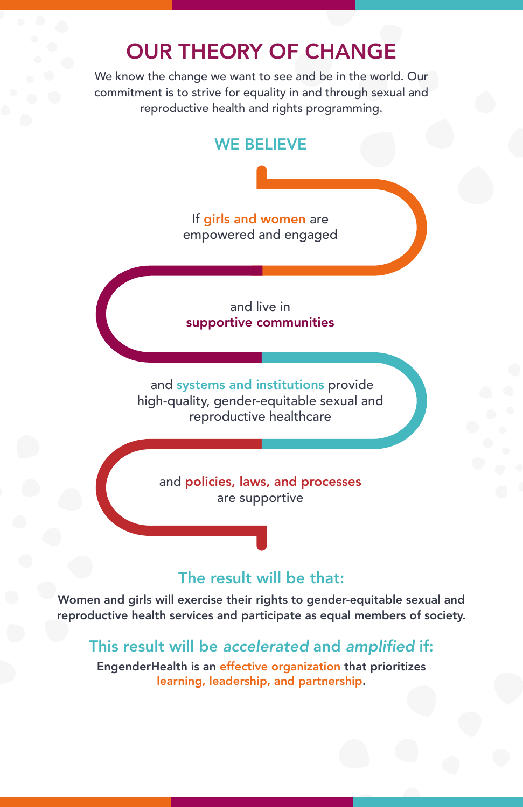# OUR THEORY OF CHANGE

We know the change we want to see and be in the world. Our commitment is to strive for equality in and through sexual and reproductive health and rights programming.

## WE BELIEVE

If girls and women are empowered and engaged

and live in supportive communities

 and systems and institutions provide high-quality, gender-equitable sexual and reproductive healthcare

and policies, laws, and processes are supportive

#### The result will be that:

Women and girls will exercise their rights to gender-equitable sexual and reproductive health services and participate as equal members of society.

## This result will be *accelerated* and amplified if:

EngenderHealth is an effective organization that prioritizes learning, leadership, and partnership.